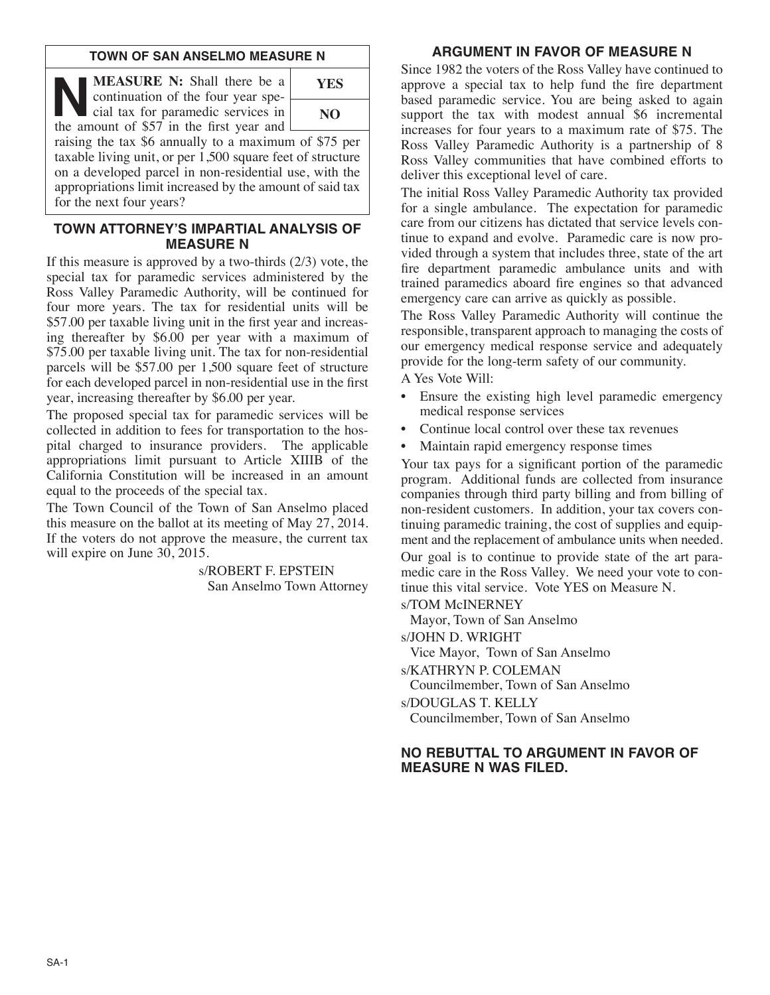## **TOWN OF SAN ANSELMO MEASURE N**

**NEASURE N:** Shall there be a continuation of the four year special tax for paramedic services in the amount of \$57 in the first year and continuation of the four year special tax for paramedic services in the amount of \$57 in the first year and



raising the tax \$6 annually to a maximum of \$75 per taxable living unit, or per 1,500 square feet of structure on a developed parcel in non-residential use, with the appropriations limit increased by the amount of said tax for the next four years?

# **TOWN ATTORNEY'S IMPARTIAL ANALYSIS OF MEASURE N**

If this measure is approved by a two-thirds  $(2/3)$  vote, the special tax for paramedic services administered by the Ross Valley Paramedic Authority, will be continued for four more years. The tax for residential units will be \$57.00 per taxable living unit in the first year and increasing thereafter by \$6.00 per year with a maximum of \$75.00 per taxable living unit. The tax for non-residential parcels will be \$57.00 per 1,500 square feet of structure for each developed parcel in non-residential use in the first year, increasing thereafter by \$6.00 per year.

The proposed special tax for paramedic services will be collected in addition to fees for transportation to the hospital charged to insurance providers. The applicable appropriations limit pursuant to Article XIIIB of the California Constitution will be increased in an amount equal to the proceeds of the special tax.

The Town Council of the Town of San Anselmo placed this measure on the ballot at its meeting of May 27, 2014. If the voters do not approve the measure, the current tax will expire on June 30, 2015.

> s/ROBERT F. EPSTEIN San Anselmo Town Attorney

# **ARGUMENT IN FAVOR OF MEASURE N**

Since 1982 the voters of the Ross Valley have continued to approve a special tax to help fund the fire department based paramedic service. You are being asked to again support the tax with modest annual \$6 incremental increases for four years to a maximum rate of \$75. The Ross Valley Paramedic Authority is a partnership of 8 Ross Valley communities that have combined efforts to deliver this exceptional level of care.

The initial Ross Valley Paramedic Authority tax provided for a single ambulance. The expectation for paramedic care from our citizens has dictated that service levels continue to expand and evolve. Paramedic care is now provided through a system that includes three, state of the art fire department paramedic ambulance units and with trained paramedics aboard fire engines so that advanced emergency care can arrive as quickly as possible.

The Ross Valley Paramedic Authority will continue the responsible, transparent approach to managing the costs of our emergency medical response service and adequately provide for the long-term safety of our community.

A Yes Vote Will:

- Ensure the existing high level paramedic emergency medical response services
- Continue local control over these tax revenues
- Maintain rapid emergency response times

Your tax pays for a significant portion of the paramedic program. Additional funds are collected from insurance companies through third party billing and from billing of non-resident customers. In addition, your tax covers continuing paramedic training, the cost of supplies and equipment and the replacement of ambulance units when needed.

Our goal is to continue to provide state of the art paramedic care in the Ross Valley. We need your vote to continue this vital service. Vote YES on Measure N.

s/TOM McINERNEY

Mayor, Town of San Anselmo

s/JOHN D. WRIGHT

Vice Mayor, Town of San Anselmo

s/KATHRYN P. COLEMAN

Councilmember, Town of San Anselmo

s/DOUGLAS T. KELLY

Councilmember, Town of San Anselmo

## **NO REBUTTAL TO ARGUMENT IN FAVOR OF MEASURE N WAS FILED.**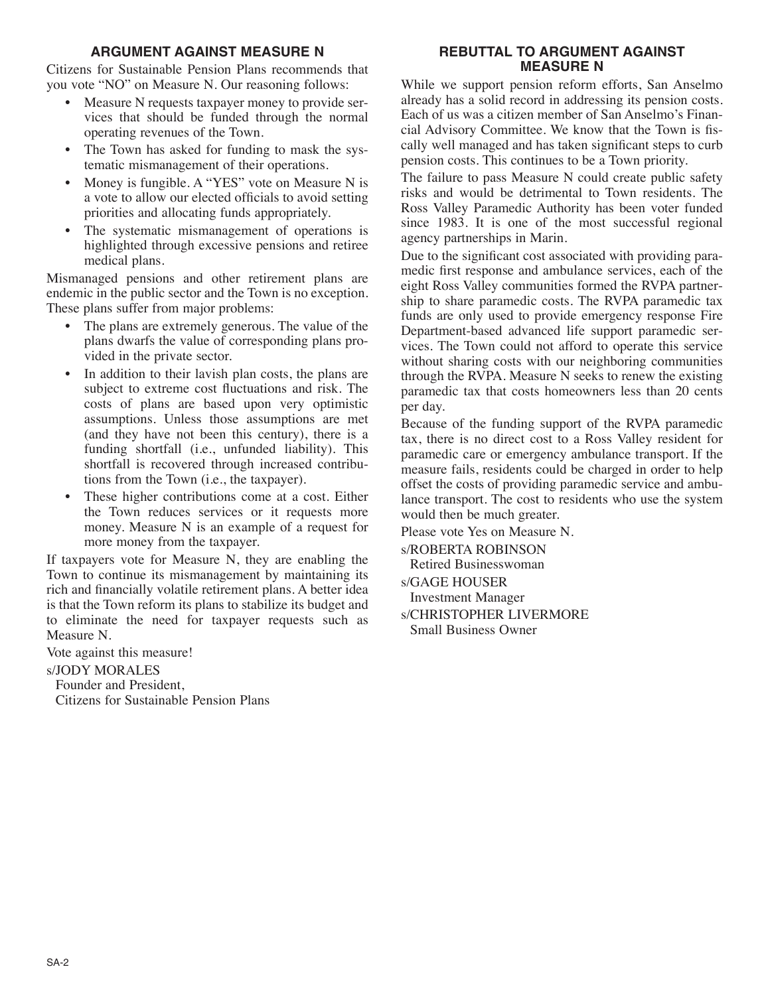# **ARGUMENT AGAINST MEASURE N**

Citizens for Sustainable Pension Plans recommends that you vote "NO" on Measure N. Our reasoning follows:

- Measure N requests taxpayer money to provide services that should be funded through the normal operating revenues of the Town.
- The Town has asked for funding to mask the systematic mismanagement of their operations.
- Money is fungible. A "YES" vote on Measure N is a vote to allow our elected officials to avoid setting priorities and allocating funds appropriately.
- The systematic mismanagement of operations is highlighted through excessive pensions and retiree medical plans.

Mismanaged pensions and other retirement plans are endemic in the public sector and the Town is no exception. These plans suffer from major problems:

- The plans are extremely generous. The value of the plans dwarfs the value of corresponding plans provided in the private sector.
- In addition to their lavish plan costs, the plans are subject to extreme cost fluctuations and risk. The costs of plans are based upon very optimistic assumptions. Unless those assumptions are met (and they have not been this century), there is a funding shortfall (i.e., unfunded liability). This shortfall is recovered through increased contributions from the Town (i.e., the taxpayer).
- These higher contributions come at a cost. Either the Town reduces services or it requests more money. Measure N is an example of a request for more money from the taxpayer.

If taxpayers vote for Measure N, they are enabling the Town to continue its mismanagement by maintaining its rich and financially volatile retirement plans. A better idea is that the Town reform its plans to stabilize its budget and to eliminate the need for taxpayer requests such as Measure N.

Vote against this measure!

#### s/JODY MORALES

Founder and President, Citizens for Sustainable Pension Plans

## **REBUTTAL TO ARGUMENT AGAINST MEASURE N**

While we support pension reform efforts, San Anselmo already has a solid record in addressing its pension costs. Each of us was a citizen member of San Anselmo's Financial Advisory Committee. We know that the Town is fiscally well managed and has taken significant steps to curb pension costs. This continues to be a Town priority.

The failure to pass Measure N could create public safety risks and would be detrimental to Town residents. The Ross Valley Paramedic Authority has been voter funded since 1983. It is one of the most successful regional agency partnerships in Marin.

Due to the significant cost associated with providing paramedic first response and ambulance services, each of the eight Ross Valley communities formed the RVPA partnership to share paramedic costs. The RVPA paramedic tax funds are only used to provide emergency response Fire Department-based advanced life support paramedic services. The Town could not afford to operate this service without sharing costs with our neighboring communities through the RVPA. Measure N seeks to renew the existing paramedic tax that costs homeowners less than 20 cents per day.

Because of the funding support of the RVPA paramedic tax, there is no direct cost to a Ross Valley resident for paramedic care or emergency ambulance transport. If the measure fails, residents could be charged in order to help offset the costs of providing paramedic service and ambulance transport. The cost to residents who use the system would then be much greater.

Please vote Yes on Measure N.

s/ROBERTA ROBINSON Retired Businesswoman

s/GAGE HOUSER

- Investment Manager
- s/CHRISTOPHER LIVERMORE Small Business Owner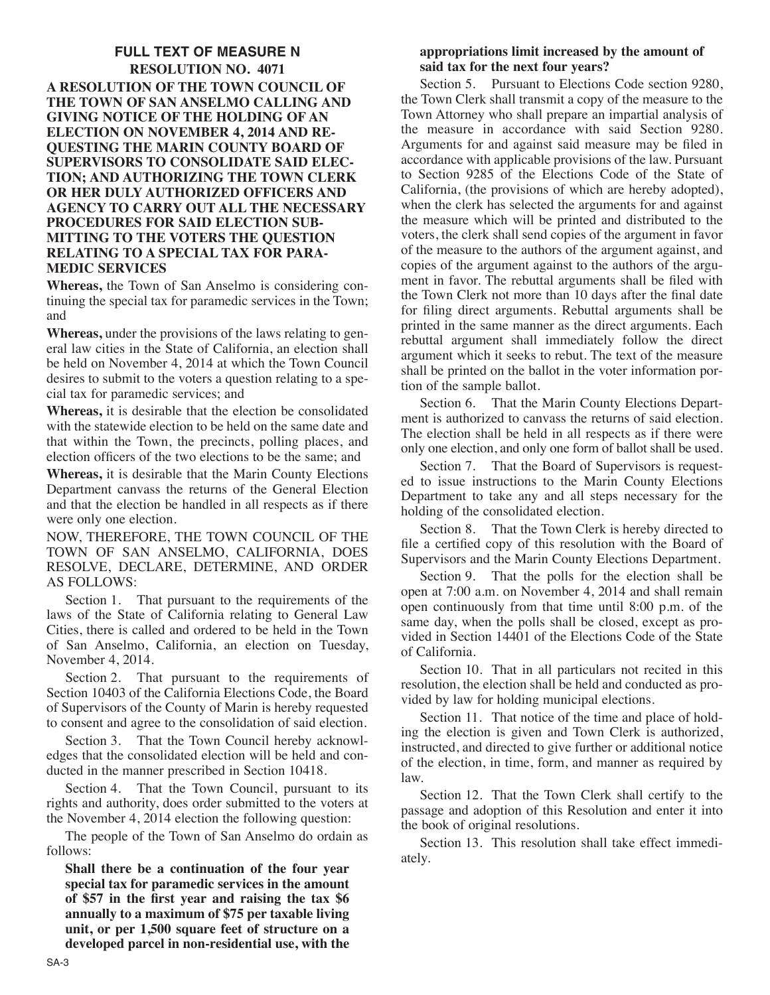## **FULL TEXT OF MEASURE N RESOLUTION NO. 4071 A RESOLUTION OF THE TOWN COUNCIL OF THE TOWN OF SAN ANSELMO CALLING AND GIVING NOTICE OF THE HOLDING OF AN ELECTION ON NOVEMBER 4, 2014 AND RE-QUESTING THE MARIN COUNTY BOARD OF SUPERVISORS TO CONSOLIDATE SAID ELEC-TION; AND AUTHORIZING THE TOWN CLERK OR HER DULY AUTHORIZED OFFICERS AND AGENCY TO CARRY OUT ALL THE NECESSARY PROCEDURES FOR SAID ELECTION SUB-MITTING TO THE VOTERS THE QUESTION RELATING TO A SPECIAL TAX FOR PARA-MEDIC SERVICES**

**Whereas,** the Town of San Anselmo is considering continuing the special tax for paramedic services in the Town; and

**Whereas,** under the provisions of the laws relating to general law cities in the State of California, an election shall be held on November 4, 2014 at which the Town Council desires to submit to the voters a question relating to a special tax for paramedic services; and

**Whereas,** it is desirable that the election be consolidated with the statewide election to be held on the same date and that within the Town, the precincts, polling places, and election officers of the two elections to be the same; and

**Whereas,** it is desirable that the Marin County Elections Department canvass the returns of the General Election and that the election be handled in all respects as if there were only one election.

NOW, THEREFORE, THE TOWN COUNCIL OF THE TOWN OF SAN ANSELMO, CALIFORNIA, DOES RESOLVE, DECLARE, DETERMINE, AND ORDER AS FOLLOWS:

Section 1. That pursuant to the requirements of the laws of the State of California relating to General Law Cities, there is called and ordered to be held in the Town of San Anselmo, California, an election on Tuesday, November 4, 2014.

Section 2. That pursuant to the requirements of Section 10403 of the California Elections Code, the Board of Supervisors of the County of Marin is hereby requested to consent and agree to the consolidation of said election.

Section 3. That the Town Council hereby acknowledges that the consolidated election will be held and conducted in the manner prescribed in Section 10418.

Section 4. That the Town Council, pursuant to its rights and authority, does order submitted to the voters at the November 4, 2014 election the following question:

The people of the Town of San Anselmo do ordain as follows:

**Shall there be a continuation of the four year special tax for paramedic services in the amount of \$57 in the first year and raising the tax \$6 annually to a maximum of \$75 per taxable living unit, or per 1,500 square feet of structure on a developed parcel in non-residential use, with the**

## **appropriations limit increased by the amount of said tax for the next four years?**

Section 5. Pursuant to Elections Code section 9280, the Town Clerk shall transmit a copy of the measure to the Town Attorney who shall prepare an impartial analysis of the measure in accordance with said Section 9280. Arguments for and against said measure may be filed in accordance with applicable provisions of the law. Pursuant to Section 9285 of the Elections Code of the State of California, (the provisions of which are hereby adopted), when the clerk has selected the arguments for and against the measure which will be printed and distributed to the voters, the clerk shall send copies of the argument in favor of the measure to the authors of the argument against, and copies of the argument against to the authors of the argument in favor. The rebuttal arguments shall be filed with the Town Clerk not more than 10 days after the final date for filing direct arguments. Rebuttal arguments shall be printed in the same manner as the direct arguments. Each rebuttal argument shall immediately follow the direct argument which it seeks to rebut. The text of the measure shall be printed on the ballot in the voter information portion of the sample ballot.

Section 6. That the Marin County Elections Department is authorized to canvass the returns of said election. The election shall be held in all respects as if there were only one election, and only one form of ballot shall be used.

Section 7. That the Board of Supervisors is requested to issue instructions to the Marin County Elections Department to take any and all steps necessary for the holding of the consolidated election.

Section 8. That the Town Clerk is hereby directed to file a certified copy of this resolution with the Board of Supervisors and the Marin County Elections Department.

Section 9. That the polls for the election shall be open at 7:00 a.m. on November 4, 2014 and shall remain open continuously from that time until 8:00 p.m. of the same day, when the polls shall be closed, except as provided in Section 14401 of the Elections Code of the State of California.

Section 10. That in all particulars not recited in this resolution, the election shall be held and conducted as provided by law for holding municipal elections.

Section 11. That notice of the time and place of holding the election is given and Town Clerk is authorized, instructed, and directed to give further or additional notice of the election, in time, form, and manner as required by law.

Section 12. That the Town Clerk shall certify to the passage and adoption of this Resolution and enter it into the book of original resolutions.

Section 13. This resolution shall take effect immediately.